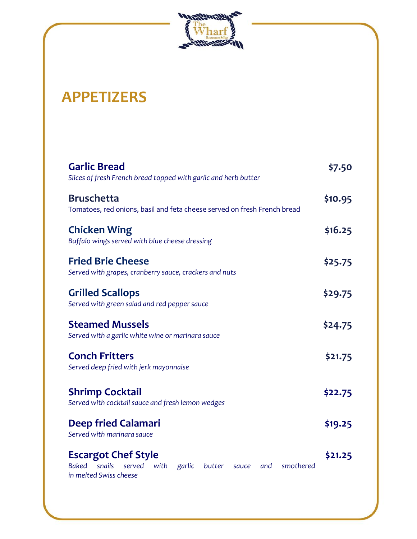

# **APPETIZERS**

| <b>Garlic Bread</b><br>Slices of fresh French bread topped with garlic and herb butter                                                            | \$7.50  |
|---------------------------------------------------------------------------------------------------------------------------------------------------|---------|
| <b>Bruschetta</b><br>Tomatoes, red onions, basil and feta cheese served on fresh French bread                                                     | \$10.95 |
| <b>Chicken Wing</b><br>Buffalo wings served with blue cheese dressing                                                                             | \$16.25 |
| <b>Fried Brie Cheese</b><br>Served with grapes, cranberry sauce, crackers and nuts                                                                | \$25.75 |
| <b>Grilled Scallops</b><br>Served with green salad and red pepper sauce                                                                           | \$29.75 |
| <b>Steamed Mussels</b><br>Served with a garlic white wine or marinara sauce                                                                       | \$24.75 |
| <b>Conch Fritters</b><br>Served deep fried with jerk mayonnaise                                                                                   | \$21.75 |
| <b>Shrimp Cocktail</b><br>Served with cocktail sauce and fresh lemon wedges                                                                       | \$22.75 |
| <b>Deep fried Calamari</b><br>Served with marinara sauce                                                                                          | \$19.25 |
| <b>Escargot Chef Style</b><br><b>Baked</b><br>snails<br>served<br>with<br>garlic<br>smothered<br>butter<br>and<br>sauce<br>in melted Swiss cheese | \$21.25 |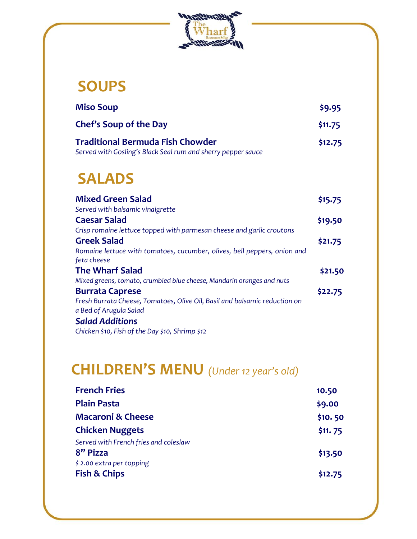

#### **SOUPS**

| <b>Miso Soup</b>                                                                                        | \$9.95  |
|---------------------------------------------------------------------------------------------------------|---------|
| Chef's Soup of the Day                                                                                  | \$11.75 |
| <b>Traditional Bermuda Fish Chowder</b><br>Served with Gosling's Black Seal rum and sherry pepper sauce | \$12.75 |

## **SALADS**

| <b>Mixed Green Salad</b>                                                   | \$15.75 |
|----------------------------------------------------------------------------|---------|
| Served with balsamic vinaigrette                                           |         |
| <b>Caesar Salad</b>                                                        | \$19.50 |
| Crisp romaine lettuce topped with parmesan cheese and garlic croutons      |         |
| <b>Greek Salad</b>                                                         | \$21.75 |
| Romaine lettuce with tomatoes, cucumber, olives, bell peppers, onion and   |         |
| feta cheese                                                                |         |
|                                                                            |         |
| <b>The Wharf Salad</b>                                                     | \$21.50 |
| Mixed greens, tomato, crumbled blue cheese, Mandarin oranges and nuts      |         |
| <b>Burrata Caprese</b>                                                     | \$22.75 |
| Fresh Burrata Cheese, Tomatoes, Olive Oil, Basil and balsamic reduction on |         |
| a Bed of Arugula Salad                                                     |         |
| <b>Salad Additions</b>                                                     |         |

# **CHILDREN'S MENU** *(Under 12 year's old)*

| <b>French Fries</b>                   | 10.50   |
|---------------------------------------|---------|
| <b>Plain Pasta</b>                    | \$9.00  |
| <b>Macaroni &amp; Cheese</b>          | \$10.50 |
| <b>Chicken Nuggets</b>                | \$11.75 |
| Served with French fries and coleslaw |         |
| 8" Pizza                              | \$13.50 |
| \$2.00 extra per topping              |         |
| <b>Fish &amp; Chips</b>               | \$12.75 |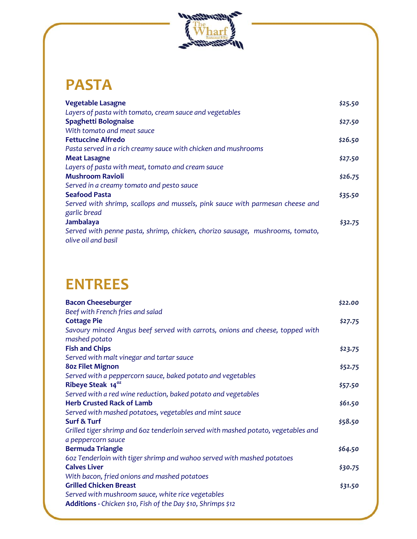

# **PASTA**

| <b>Vegetable Lasagne</b>                                                      | \$25.50 |
|-------------------------------------------------------------------------------|---------|
| Layers of pasta with tomato, cream sauce and vegetables                       |         |
| Spaghetti Bolognaise                                                          | \$27.50 |
| With tomato and meat sauce                                                    |         |
| <b>Fettuccine Alfredo</b>                                                     | \$26.50 |
| Pasta served in a rich creamy sauce with chicken and mushrooms                |         |
| <b>Meat Lasagne</b>                                                           | \$27.50 |
| Layers of pasta with meat, tomato and cream sauce                             |         |
| <b>Mushroom Ravioli</b>                                                       | \$26.75 |
| Served in a creamy tomato and pesto sauce                                     |         |
| <b>Seafood Pasta</b>                                                          | \$35.50 |
| Served with shrimp, scallops and mussels, pink sauce with parmesan cheese and |         |
| garlic bread                                                                  |         |
| Jambalaya                                                                     | \$32.75 |
| Served with penne pasta, shrimp, chicken, chorizo sausage, mushrooms, tomato, |         |
| olive oil and basil                                                           |         |

#### **ENTREES**

| <b>Bacon Cheeseburger</b>                                                         | \$22.00 |
|-----------------------------------------------------------------------------------|---------|
| Beef with French fries and salad                                                  |         |
| <b>Cottage Pie</b>                                                                | \$27.75 |
| Savoury minced Angus beef served with carrots, onions and cheese, topped with     |         |
| mashed potato                                                                     |         |
| <b>Fish and Chips</b>                                                             | \$23.75 |
| Served with malt vinegar and tartar sauce                                         |         |
| <b>80z Filet Mignon</b>                                                           | \$52.75 |
| Served with a peppercorn sauce, baked potato and vegetables                       |         |
| Ribeye Steak 14 <sup>oz</sup>                                                     | \$57.50 |
| Served with a red wine reduction, baked potato and vegetables                     |         |
| <b>Herb Crusted Rack of Lamb</b>                                                  | \$61.50 |
| Served with mashed potatoes, vegetables and mint sauce                            |         |
| <b>Surf &amp; Turf</b>                                                            | \$58.50 |
| Grilled tiger shrimp and 60z tenderloin served with mashed potato, vegetables and |         |
| a peppercorn sauce                                                                |         |
| <b>Bermuda Triangle</b>                                                           | \$64.50 |
| 602 Tenderloin with tiger shrimp and wahoo served with mashed potatoes            |         |
| <b>Calves Liver</b>                                                               | \$30.75 |
| With bacon, fried onions and mashed potatoes                                      |         |
| <b>Grilled Chicken Breast</b>                                                     | \$31.50 |
| Served with mushroom sauce, white rice vegetables                                 |         |
| Additions - Chicken \$10, Fish of the Day \$10, Shrimps \$12                      |         |
|                                                                                   |         |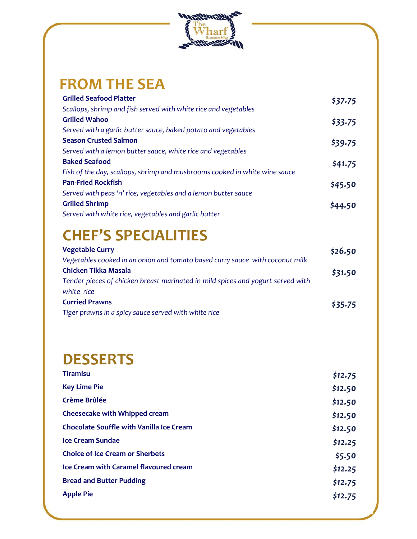

#### **FROM THE SEA**

| <b>Grilled Seafood Platter</b>                                             | \$37.75 |
|----------------------------------------------------------------------------|---------|
| Scallops, shrimp and fish served with white rice and vegetables            |         |
| <b>Grilled Wahoo</b>                                                       | \$33.75 |
| Served with a garlic butter sauce, baked potato and vegetables             |         |
| <b>Season Crusted Salmon</b>                                               | \$39.75 |
| Served with a lemon butter sauce, white rice and vegetables                |         |
| <b>Baked Seafood</b>                                                       | \$41.75 |
| Fish of the day, scallops, shrimp and mushrooms cooked in white wine sauce |         |
| <b>Pan-Fried Rockfish</b>                                                  | \$45.50 |
| Served with peas 'n' rice, vegetables and a lemon butter sauce             |         |
| <b>Grilled Shrimp</b>                                                      | \$44.50 |
| Served with white rice, vegetables and garlic butter                       |         |
|                                                                            |         |

## **CHEF'S SPECIALITIES**

| <b>Vegetable Curry</b>                                                          | \$26.50 |
|---------------------------------------------------------------------------------|---------|
| Vegetables cooked in an onion and tomato based curry sauce with coconut milk    |         |
| <b>Chicken Tikka Masala</b>                                                     | \$31.50 |
| Tender pieces of chicken breast marinated in mild spices and yogurt served with |         |
| white rice                                                                      |         |
| <b>Curried Prawns</b>                                                           | \$35.75 |
| Tiger prawns in a spicy sauce served with white rice                            |         |
|                                                                                 |         |

## **DESSERTS**

| <b>Tiramisu</b>                                 | \$12.75 |
|-------------------------------------------------|---------|
| <b>Key Lime Pie</b>                             | \$12.50 |
| Crème Brûlée                                    | \$12.50 |
| <b>Cheesecake with Whipped cream</b>            | \$12.50 |
| <b>Chocolate Souffle with Vanilla Ice Cream</b> | \$12.50 |
| <b>Ice Cream Sundae</b>                         | \$12.25 |
| <b>Choice of Ice Cream or Sherbets</b>          | \$5.50  |
| <b>Ice Cream with Caramel flavoured cream</b>   | \$12.25 |
| <b>Bread and Butter Pudding</b>                 | \$12.75 |
| <b>Apple Pie</b>                                | \$12.75 |